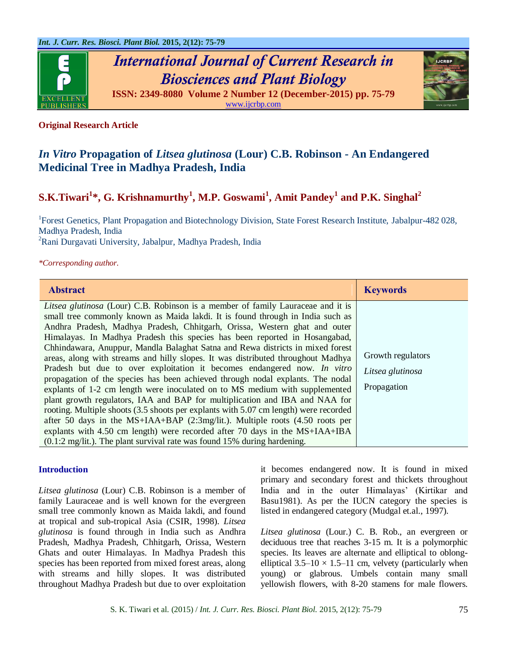

*International Journal of Current Research in Biosciences and Plant Biology* **ISSN: 2349-8080 Volume 2 Number 12 (December-2015) pp. 75-79**

[www.ijcrbp.com](http://www.ijcrbp.com/)



# **Original Research Article**

# *In Vitro* **Propagation of** *Litsea glutinosa* **(Lour) C.B. Robinson - An Endangered Medicinal Tree in Madhya Pradesh, India**

# **S.K.Tiwari<sup>1</sup> \*, G. Krishnamurthy<sup>1</sup> , M.P. Goswami<sup>1</sup> , Amit Pandey<sup>1</sup> and P.K. Singhal<sup>2</sup>**

<sup>1</sup>Forest Genetics, Plant Propagation and Biotechnology Division, State Forest Research Institute, Jabalpur-482 028, Madhya Pradesh, India <sup>2</sup>Rani Durgavati University, Jabalpur, Madhya Pradesh, India

#### *\*Corresponding author.*

| <b>Abstract</b>                                                                                                                                                                                                                                                                                                                                                                                                                                                                                                                                                                                                                                                                                                                                                                                                                                                                                                                                                                                                                                                                                                                                                                                  | <b>Keywords</b>                                      |
|--------------------------------------------------------------------------------------------------------------------------------------------------------------------------------------------------------------------------------------------------------------------------------------------------------------------------------------------------------------------------------------------------------------------------------------------------------------------------------------------------------------------------------------------------------------------------------------------------------------------------------------------------------------------------------------------------------------------------------------------------------------------------------------------------------------------------------------------------------------------------------------------------------------------------------------------------------------------------------------------------------------------------------------------------------------------------------------------------------------------------------------------------------------------------------------------------|------------------------------------------------------|
| Litsea glutinosa (Lour) C.B. Robinson is a member of family Lauraceae and it is<br>small tree commonly known as Maida lakdi. It is found through in India such as<br>Andhra Pradesh, Madhya Pradesh, Chhitgarh, Orissa, Western ghat and outer<br>Himalayas. In Madhya Pradesh this species has been reported in Hosangabad,<br>Chhindawara, Anuppur, Mandla Balaghat Satna and Rewa districts in mixed forest<br>areas, along with streams and hilly slopes. It was distributed throughout Madhya<br>Pradesh but due to over exploitation it becomes endangered now. In vitro<br>propagation of the species has been achieved through nodal explants. The nodal<br>explants of 1-2 cm length were inoculated on to MS medium with supplemented<br>plant growth regulators, IAA and BAP for multiplication and IBA and NAA for<br>rooting. Multiple shoots (3.5 shoots per explants with 5.07 cm length) were recorded<br>after 50 days in the MS+IAA+BAP $(2:3mg/lit.)$ . Multiple roots $(4.50 \text{ roots per})$<br>explants with 4.50 cm length) were recorded after 70 days in the MS+IAA+IBA<br>$(0.1:2 \text{ mg}/\text{lit})$ . The plant survival rate was found 15% during hardening. | Growth regulators<br>Litsea glutinosa<br>Propagation |

#### **Introduction**

*Litsea glutinosa* (Lour) C.B. Robinson is a member of family Lauraceae and is well known for the evergreen small tree commonly known as Maida lakdi, and found at tropical and sub-tropical Asia (CSIR, 1998). *Litsea glutinosa* is found through in India such as Andhra Pradesh, Madhya Pradesh, Chhitgarh, Orissa, Western Ghats and outer Himalayas. In Madhya Pradesh this species has been reported from mixed forest areas, along with streams and hilly slopes. It was distributed throughout Madhya Pradesh but due to over exploitation

it becomes endangered now. It is found in mixed primary and secondary forest and thickets throughout India and in the outer Himalayas' (Kirtikar and Basu1981). As per the IUCN category the species is listed in endangered category (Mudgal et.al., 1997).

*Litsea glutinosa* (Lour.) C. B. Rob., an evergreen or deciduous tree that reaches 3-15 m. It is a polymorphic species. Its leaves are alternate and elliptical to oblongelliptical  $3.5-10 \times 1.5-11$  cm, velvety (particularly when young) or glabrous. Umbels contain many small yellowish flowers, with 8-20 stamens for male flowers.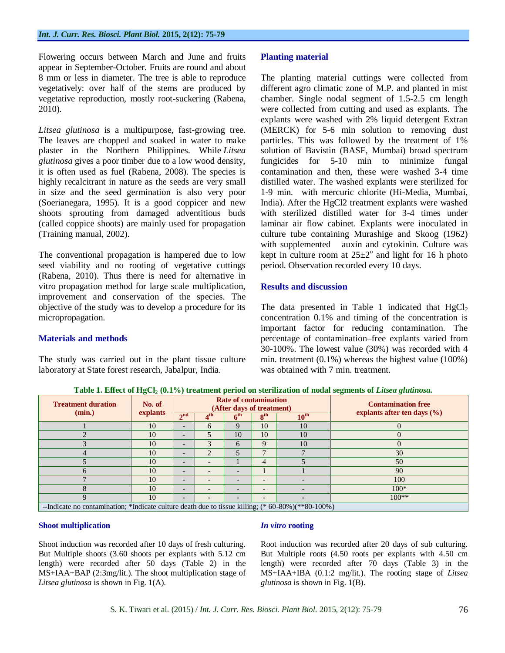Flowering occurs between March and June and fruits appear in September-October. Fruits are round and about 8 mm or less in diameter. The tree is able to reproduce vegetatively: over half of the stems are produced by vegetative reproduction, mostly root-suckering [\(Rabena,](http://www.feedipedia.org/node/17296)  [201](http://www.feedipedia.org/node/17296)0).

*Litsea glutinosa* is a multipurpose, fast-growing tree. The leaves are chopped and soaked in water to make plaster in the Northern Philippines. While *Litsea glutinosa* gives a poor timber due to a low wood density, it is often used as fuel [\(Rabena, 2008\)](http://www.feedipedia.org/node/17296). The species is highly recalcitrant in nature as the seeds are very small in size and the seed germination is also very poor (Soerianegara, 1995). It is a good coppicer and new shoots sprouting from damaged adventitious buds (called coppice shoots) are mainly used for propagation (Training manual, 2002).

The conventional propagation is hampered due to low seed viability and no rooting of vegetative cuttings (Rabena, 2010). Thus there is need for alternative in vitro propagation method for large scale multiplication, improvement and conservation of the species. The objective of the study was to develop a procedure for its micropropagation.

## **Materials and methods**

The study was carried out in the plant tissue culture laboratory at State forest research, Jabalpur, India.

# **Planting material**

The planting material cuttings were collected from different agro climatic zone of M.P. and planted in mist chamber. Single nodal segment of 1.5-2.5 cm length were collected from cutting and used as explants. The explants were washed with 2% liquid detergent Extran (MERCK) for 5-6 min solution to removing dust particles. This was followed by the treatment of 1% solution of Bavistin (BASF, Mumbai) broad spectrum fungicides for 5-10 min to minimize fungal contamination and then, these were washed 3-4 time distilled water. The washed explants were sterilized for 1-9 min. with mercuric chlorite (Hi-Media, Mumbai, India). After the HgCl2 treatment explants were washed with sterilized distilled water for 3-4 times under laminar air flow cabinet. Explants were inoculated in culture tube containing Murashige and Skoog (1962) with supplemented auxin and cytokinin. Culture was kept in culture room at  $25\pm2^{\circ}$  and light for 16 h photo period. Observation recorded every 10 days.

# **Results and discussion**

The data presented in Table 1 indicated that  $HgCl<sub>2</sub>$ concentration 0.1% and timing of the concentration is important factor for reducing contamination. The percentage of contamination–free explants varied from 30-100%. The lowest value (30%) was recorded with 4 min. treatment (0.1%) whereas the highest value (100%) was obtained with 7 min. treatment.

**Treatment duration (min.) No. of explants Rate of contamination (After days of treatment)**<br>  $4^{\text{th}}$  **c**  $6^{\text{th}}$  **g**<sup>th</sup> **z**  $6^{\text{th}}$  **c**  $10^{\text{th}}$  **c** explants after ten days ( **explants after ten days (%)**<br>  $\frac{6^{th}}{9}$  **2**<sup>th</sup> **2**<sup>th</sup> **2**<sup>th</sup> **10**<sup>th</sup> **2**<sup>th</sup> **2**<sup>th</sup> **2**<sup>th</sup> **2**<sup>t</sup><sub>0</sub><sup>th</sup> **2**<sup>t</sup><sub>0</sub><sup>th</sup> **2**<sup>t</sup><sub>0</sub><sup>t</sup><sub>0</sub><sup>t</sup><sup>1</sup> *0*<sup>t</sup>  $2<sup>nd</sup>$  $t<sup>th</sup>$  **6<sup>th</sup> 8 th 10th**  $1 \t 10 \t - \t 6 \t 9 \t 10 \t 10 \t 0$ 2 10  $-$  5 10 10 10 0  $3 \t\t\t 10 \t\t - \t3 \t6 \t9 \t10 \t0$ 4 10 - 2 5 7 7 7 30  $5 \t\t\t 10 \t\t - \t\t - \t\t 1 \t 4 \t 5 \t\t 50$ 6 10 - - 1 1 1 1 90 7 10 - - - - - - - 100 8 10 - - - - - - - 100\* 9 10 - - - - - - - 100\*\*

**Table 1. Effect of HgCl<sup>2</sup> (0.1%) treatment period on sterilization of nodal segments of** *Litsea glutinosa.*

--Indicate no contamination; \*Indicate culture death due to tissue killing; (\* 60-80%)(\*\*80-100%)

## **Shoot multiplication**

Shoot induction was recorded after 10 days of fresh culturing. But Multiple shoots (3.60 shoots per explants with 5.12 cm length) were recorded after 50 days (Table 2) in the MS+IAA+BAP (2:3mg/lit.). The shoot multiplication stage of *Litsea glutinosa* is shown in Fig. 1(A).

#### *In vitro* **rooting**

Root induction was recorded after 20 days of sub culturing. But Multiple roots (4.50 roots per explants with 4.50 cm length) were recorded after 70 days (Table 3) in the MS+IAA+IBA (0.1:2 mg/lit.). The rooting stage of *Litsea glutinosa* is shown in Fig. 1(B).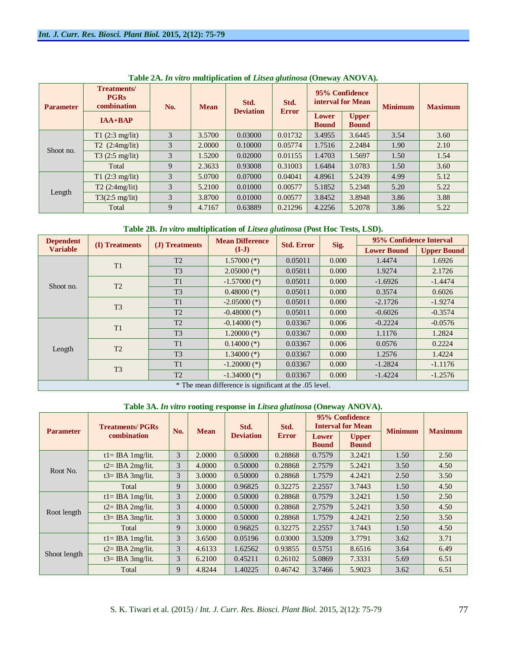| <b>Parameter</b> | <b>Treatments/</b><br><b>PGRs</b><br>combination | No. | <b>Mean</b> | Std.<br><b>Deviation</b> | Std.<br><b>Error</b> | 95% Confidence<br>interval for Mean |                              | <b>Minimum</b> | <b>Maximum</b> |
|------------------|--------------------------------------------------|-----|-------------|--------------------------|----------------------|-------------------------------------|------------------------------|----------------|----------------|
|                  | $IAA+BAP$                                        |     |             |                          |                      | Lower<br><b>Bound</b>               | <b>Upper</b><br><b>Bound</b> |                |                |
| Shoot no.        | $T1$ (2:3 mg/lit)                                | 3   | 3.5700      | 0.03000                  | 0.01732              | 3.4955                              | 3.6445                       | 3.54           | 3.60           |
|                  | T2(2:4mg/lit)                                    | 3   | 2.0000      | 0.10000                  | 0.05774              | 1.7516                              | 2.2484                       | 1.90           | 2.10           |
|                  | $T3(2:5 \text{ mg}/\text{lit})$                  | 3   | 1.5200      | 0.02000                  | 0.01155              | 1.4703                              | 1.5697                       | 1.50           | 1.54           |
|                  | Total                                            | 9   | 2.3633      | 0.93008                  | 0.31003              | 1.6484                              | 3.0783                       | 1.50           | 3.60           |
| Length           | T1(2:3 mg/lit)                                   | 3   | 5.0700      | 0.07000                  | 0.04041              | 4.8961                              | 5.2439                       | 4.99           | 5.12           |
|                  | T2(2:4mg/lit)                                    | 3   | 5.2100      | 0.01000                  | 0.00577              | 5.1852                              | 5.2348                       | 5.20           | 5.22           |
|                  | $T3(2:5 \text{ mg}/\text{lit})$                  | 3   | 3.8700      | 0.01000                  | 0.00577              | 3.8452                              | 3.8948                       | 3.86           | 3.88           |
|                  | Total                                            | 9   | 4.7167      | 0.63889                  | 0.21296              | 4.2256                              | 5.2078                       | 3.86           | 5.22           |

**Table 2A.** *In vitro* **multiplication of** *Litsea glutinosa* **(Oneway ANOVA).**

#### **Table 2B.** *In vitro* **multiplication of** *Litsea glutinosa* **(Post Hoc Tests, LSD).**

| <b>Dependent</b>                                       | (I) Treatments | (J) Treatments | <b>Mean Difference</b><br>$(I-J)$ | <b>Std. Error</b> |       | 95% Confidence Interval |                    |  |  |
|--------------------------------------------------------|----------------|----------------|-----------------------------------|-------------------|-------|-------------------------|--------------------|--|--|
| <b>Variable</b>                                        |                |                |                                   |                   | Sig.  | <b>Lower Bound</b>      | <b>Upper Bound</b> |  |  |
| Shoot no.                                              | T1             | T2             | $1.57000$ (*)                     | 0.05011           | 0.000 | 1.4474                  | 1.6926             |  |  |
|                                                        |                | T <sub>3</sub> | $2.05000$ (*)                     | 0.05011           | 0.000 | 1.9274                  | 2.1726             |  |  |
|                                                        | T2             | T1             | $-1.57000$ (*)                    | 0.05011           | 0.000 | $-1.6926$               | $-1.4474$          |  |  |
|                                                        |                | T <sub>3</sub> | $0.48000$ (*)                     | 0.05011           | 0.000 | 0.3574                  | 0.6026             |  |  |
|                                                        | T <sub>3</sub> | T1             | $-2.05000$ (*)                    | 0.05011           | 0.000 | $-2.1726$               | $-1.9274$          |  |  |
|                                                        |                | T <sub>2</sub> | $-0.48000$ (*)                    | 0.05011           | 0.000 | $-0.6026$               | $-0.3574$          |  |  |
| Length                                                 | T1             | T2             | $-0.14000$ (*)                    | 0.03367           | 0.006 | $-0.2224$               | $-0.0576$          |  |  |
|                                                        |                | T <sub>3</sub> | $1.20000$ (*)                     | 0.03367           | 0.000 | 1.1176                  | 1.2824             |  |  |
|                                                        | T2             | T1             | $0.14000$ (*)                     | 0.03367           | 0.006 | 0.0576                  | 0.2224             |  |  |
|                                                        |                | T <sub>3</sub> | $1.34000$ (*)                     | 0.03367           | 0.000 | 1.2576                  | 1.4224             |  |  |
|                                                        | T <sub>3</sub> | T1             | $-1.20000$ (*)                    | 0.03367           | 0.000 | $-1.2824$               | $-1.1176$          |  |  |
|                                                        |                | T2             | $-1.34000$ (*)                    | 0.03367           | 0.000 | $-1.4224$               | $-1.2576$          |  |  |
| * The mean difference is significant at the .05 level. |                |                |                                   |                   |       |                         |                    |  |  |

## **Table 3A.** *In vitro* **rooting response in** *Litsea glutinosa* **(Oneway ANOVA).**

| <b>Parameter</b> | <b>Treatments/PGRs</b><br>combination | No. | <b>Mean</b> | Std.<br><b>Deviation</b> | Std.         | 95% Confidence<br><b>Interval for Mean</b> |                              | <b>Minimum</b> | <b>Maximum</b> |
|------------------|---------------------------------------|-----|-------------|--------------------------|--------------|--------------------------------------------|------------------------------|----------------|----------------|
|                  |                                       |     |             |                          | <b>Error</b> | <b>Lower</b><br><b>Bound</b>               | <b>Upper</b><br><b>Bound</b> |                |                |
| Root No.         | $t = IBA$ 1 mg/lit.                   | 3   | 2.0000      | 0.50000                  | 0.28868      | 0.7579                                     | 3.2421                       | 1.50           | 2.50           |
|                  | $t2 = IBA 2mg/lit.$                   | 3   | 4.0000      | 0.50000                  | 0.28868      | 2.7579                                     | 5.2421                       | 3.50           | 4.50           |
|                  | $t3 = IBA 3mg/lit.$                   | 3   | 3.0000      | 0.50000                  | 0.28868      | 1.7579                                     | 4.2421                       | 2.50           | 3.50           |
|                  | Total                                 | 9   | 3.0000      | 0.96825                  | 0.32275      | 2.2557                                     | 3.7443                       | 1.50           | 4.50           |
| Root length      | $t = IBA$ 1 mg/lit.                   | 3   | 2.0000      | 0.50000                  | 0.28868      | 0.7579                                     | 3.2421                       | 1.50           | 2.50           |
|                  | $t2 = IBA$ 2mg/lit.                   | 3   | 4.0000      | 0.50000                  | 0.28868      | 2.7579                                     | 5.2421                       | 3.50           | 4.50           |
|                  | $t3 = IBA 3mg/lit.$                   | 3   | 3.0000      | 0.50000                  | 0.28868      | 1.7579                                     | 4.2421                       | 2.50           | 3.50           |
|                  | Total                                 | 9   | 3.0000      | 0.96825                  | 0.32275      | 2.2557                                     | 3.7443                       | 1.50           | 4.50           |
| Shoot length     | $t = IBA$ 1 mg/lit.                   | 3   | 3.6500      | 0.05196                  | 0.03000      | 3.5209                                     | 3.7791                       | 3.62           | 3.71           |
|                  | $t2 = IBA 2mg/lit$ .                  | 3   | 4.6133      | 1.62562                  | 0.93855      | 0.5751                                     | 8.6516                       | 3.64           | 6.49           |
|                  | $t3 = IBA 3mg/lit.$                   | 3   | 6.2100      | 0.45211                  | 0.26102      | 5.0869                                     | 7.3331                       | 5.69           | 6.51           |
|                  | Total                                 | 9   | 4.8244      | 1.40225                  | 0.46742      | 3.7466                                     | 5.9023                       | 3.62           | 6.51           |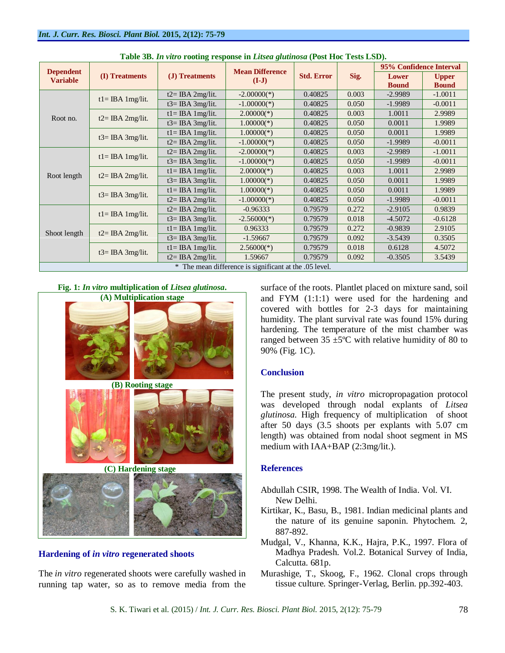|                                                        |                      |                     |                                   | <b>Std. Error</b> | Sig.  | 95% Confidence Interval |              |  |  |  |
|--------------------------------------------------------|----------------------|---------------------|-----------------------------------|-------------------|-------|-------------------------|--------------|--|--|--|
| <b>Dependent</b><br><b>Variable</b>                    | (I) Treatments       | (J) Treatments      | <b>Mean Difference</b><br>$(I-J)$ |                   |       | Lower                   | <b>Upper</b> |  |  |  |
|                                                        |                      |                     |                                   |                   |       | <b>Bound</b>            | <b>Bound</b> |  |  |  |
|                                                        | $t = IBA 1mg/lit.$   | $t2 = IBA 2mg/lit.$ | $-2.00000(*)$                     | 0.40825           | 0.003 | $-2.9989$               | $-1.0011$    |  |  |  |
|                                                        |                      | $t3 = IBA 3mg/lit.$ | $-1.00000(*)$                     | 0.40825           | 0.050 | $-1.9989$               | $-0.0011$    |  |  |  |
| Root no.                                               |                      | $t = IBA$ 1 mg/lit. | $2.00000(*)$                      | 0.40825           | 0.003 | 1.0011                  | 2.9989       |  |  |  |
|                                                        | $t2 = IBA 2mg/lit$ . | $t3 = IBA 3mg/lit.$ | $1.00000(*)$                      | 0.40825           | 0.050 | 0.0011                  | 1.9989       |  |  |  |
|                                                        | $t3 = IBA 3mg/lit.$  | $t = IBA$ 1 mg/lit. | $1.00000(*)$                      | 0.40825           | 0.050 | 0.0011                  | 1.9989       |  |  |  |
|                                                        |                      | $t2=$ IBA 2mg/lit.  | $-1.00000(*)$                     | 0.40825           | 0.050 | $-1.9989$               | $-0.0011$    |  |  |  |
|                                                        | $t = IBA 1mg/lit.$   | $t2=$ IBA 2mg/lit.  | $-2.00000(*)$                     | 0.40825           | 0.003 | $-2.9989$               | $-1.0011$    |  |  |  |
|                                                        |                      | $t3 = IBA$ 3mg/lit. | $-1.00000(*)$                     | 0.40825           | 0.050 | $-1.9989$               | $-0.0011$    |  |  |  |
|                                                        | $t2 = IBA 2mg/lit$ . | $t = IBA$ 1 mg/lit. | $2.00000(*)$                      | 0.40825           | 0.003 | 1.0011                  | 2.9989       |  |  |  |
| Root length                                            |                      | $t3 = IBA 3mg/lit.$ | $1.00000(*)$                      | 0.40825           | 0.050 | 0.0011                  | 1.9989       |  |  |  |
|                                                        | $t3 = IBA 3mg/lit.$  | $t = IBA$ 1mg/lit.  | $1.00000(*)$                      | 0.40825           | 0.050 | 0.0011                  | 1.9989       |  |  |  |
|                                                        |                      | $t2 = IBA 2mg/lit.$ | $-1.00000(*)$                     | 0.40825           | 0.050 | $-1.9989$               | $-0.0011$    |  |  |  |
| Shoot length                                           | $t = IBA 1mg/lit.$   | $t2 = IBA 2mg/lit.$ | $-0.96333$                        | 0.79579           | 0.272 | $-2.9105$               | 0.9839       |  |  |  |
|                                                        |                      | $t3 = IBA 3mg/lit.$ | $-2.56000(*)$                     | 0.79579           | 0.018 | $-4.5072$               | $-0.6128$    |  |  |  |
|                                                        | $t2 = IBA 2mg/lit.$  | $t = IBA 1mg/lit.$  | 0.96333                           | 0.79579           | 0.272 | $-0.9839$               | 2.9105       |  |  |  |
|                                                        |                      | $t3 = IBA$ 3mg/lit. | $-1.59667$                        | 0.79579           | 0.092 | $-3.5439$               | 0.3505       |  |  |  |
|                                                        | $t3 = IBA 3mg/lit.$  | $t = IBA$ 1mg/lit.  | $2.56000(*)$                      | 0.79579           | 0.018 | 0.6128                  | 4.5072       |  |  |  |
|                                                        |                      | $t2 = IBA 2mg/lit.$ | 1.59667                           | 0.79579           | 0.092 | $-0.3505$               | 3.5439       |  |  |  |
| * The mean difference is significant at the .05 level. |                      |                     |                                   |                   |       |                         |              |  |  |  |

**Table 3B.** *In vitro* **rooting response in** *Litsea glutinosa* **(Post Hoc Tests LSD).**



## **Hardening of** *in vitro* **regenerated shoots**

The *in vitro* regenerated shoots were carefully washed in running tap water, so as to remove media from the

surface of the roots. Plantlet placed on mixture sand, soil and FYM (1:1:1) were used for the hardening and covered with bottles for 2-3 days for maintaining humidity. The plant survival rate was found 15% during hardening. The temperature of the mist chamber was ranged between  $35 \pm 5^{\circ}$ C with relative humidity of 80 to 90% (Fig. 1C).

## **Conclusion**

The present study, *in vitro* micropropagation protocol was developed through nodal explants of *Litsea glutinosa*. High frequency of multiplication of shoot after 50 days (3.5 shoots per explants with 5.07 cm length) was obtained from nodal shoot segment in MS medium with IAA+BAP (2:3mg/lit.).

#### **References**

- Abdullah CSIR, 1998. The Wealth of India. Vol. VI. New Delhi.
- Kirtikar, K., Basu, B., 1981. Indian medicinal plants and the nature of its genuine saponin. Phytochem. 2, 887-892.
- Mudgal, V., Khanna, K.K., Hajra, P.K., 1997. Flora of Madhya Pradesh. Vol.2. Botanical Survey of India, Calcutta. 681p.
- Murashige, T., Skoog, F., 1962. Clonal crops through tissue culture. Springer-Verlag, Berlin. pp.392-403.